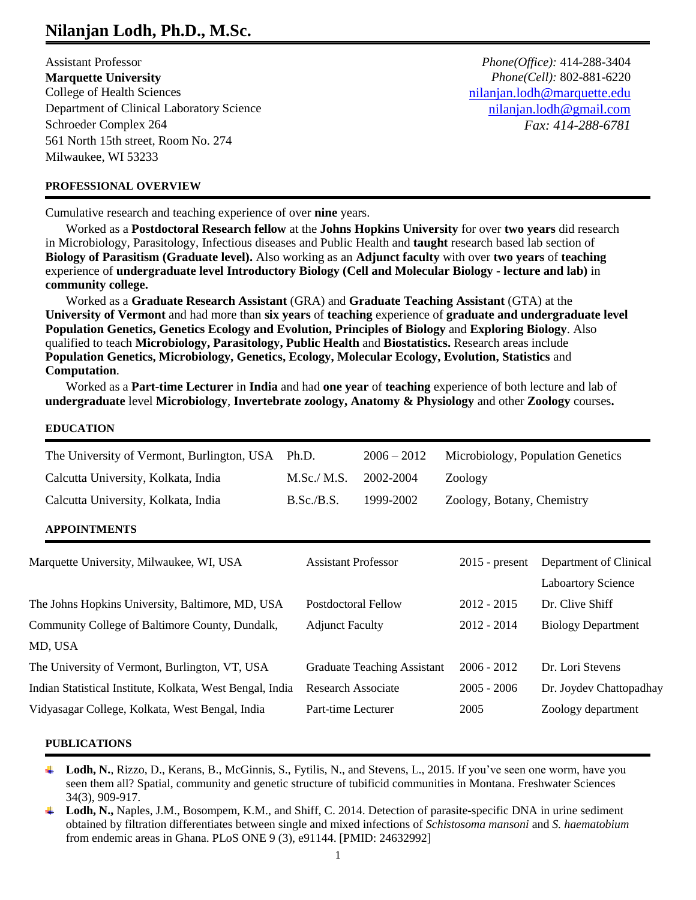# **Nilanjan Lodh, Ph.D., M.Sc.**

Assistant Professor *Phone(Office):* 414-288-3404 **Marquette University** *Phone(Cell):* 802-881-6220 College of Health Sciences [nilanjan.lodh@marquette.edu](mailto:nilanjan.lodh@marquette.edu) Department of Clinical Laboratory Science [nilanjan.lodh@gmail.com](mailto:nilanjan.lodh@gmail.com) Schroeder Complex 264 *Fax: 414-288-6781* 561 North 15th street, Room No. 274 Milwaukee, WI 53233

### **PROFESSIONAL OVERVIEW**

Cumulative research and teaching experience of over **nine** years.

Worked as a **Postdoctoral Research fellow** at the **Johns Hopkins University** for over **two years** did research in Microbiology, Parasitology, Infectious diseases and Public Health and **taught** research based lab section of **Biology of Parasitism (Graduate level).** Also working as an **Adjunct faculty** with over **two years** of **teaching**  experience of **undergraduate level Introductory Biology (Cell and Molecular Biology - lecture and lab)** in **community college.** 

Worked as a **Graduate Research Assistant** (GRA) and **Graduate Teaching Assistant** (GTA) at the **University of Vermont** and had more than **six years** of **teaching** experience of **graduate and undergraduate level Population Genetics, Genetics Ecology and Evolution, Principles of Biology** and **Exploring Biology**. Also qualified to teach **Microbiology, Parasitology, Public Health** and **Biostatistics.** Research areas include **Population Genetics, Microbiology, Genetics, Ecology, Molecular Ecology, Evolution, Statistics** and **Computation**.

Worked as a **Part-time Lecturer** in **India** and had **one year** of **teaching** experience of both lecture and lab of **undergraduate** level **Microbiology**, **Invertebrate zoology, Anatomy & Physiology** and other **Zoology** courses**.** 

#### **EDUCATION**

| $2006 - 2012$<br>Microbiology, Population Genetics<br>2002-2004<br>Zoology |
|----------------------------------------------------------------------------|
|                                                                            |
|                                                                            |
| 1999-2002<br>Zoology, Botany, Chemistry                                    |
|                                                                            |
| Department of Clinical<br>$2015$ - present                                 |
| <b>Laboartory Science</b>                                                  |
| $2012 - 2015$<br>Dr. Clive Shiff                                           |
| $2012 - 2014$<br><b>Biology Department</b>                                 |
|                                                                            |
| Dr. Lori Stevens<br><b>Graduate Teaching Assistant</b><br>$2006 - 2012$    |
| $2005 - 2006$<br>Dr. Joydev Chattopadhay                                   |
| 2005<br>Zoology department                                                 |
|                                                                            |

#### **PUBLICATIONS**

- **↓** Lodh, N., Rizzo, D., Kerans, B., McGinnis, S., Fytilis, N., and Stevens, L., 2015. If you've seen one worm, have you seen them all? Spatial, community and genetic structure of tubificid communities in Montana. Freshwater Sciences 34(3), 909-917.
- **Lodh, N., Naples, J.M., Bosompem, K.M., and Shiff, C. 2014. Detection of parasite-specific DNA in urine sediment** obtained by filtration differentiates between single and mixed infections of *Schistosoma mansoni* and *S. haematobium*  from endemic areas in Ghana. PLoS ONE 9 (3), e91144. [PMID: 24632992]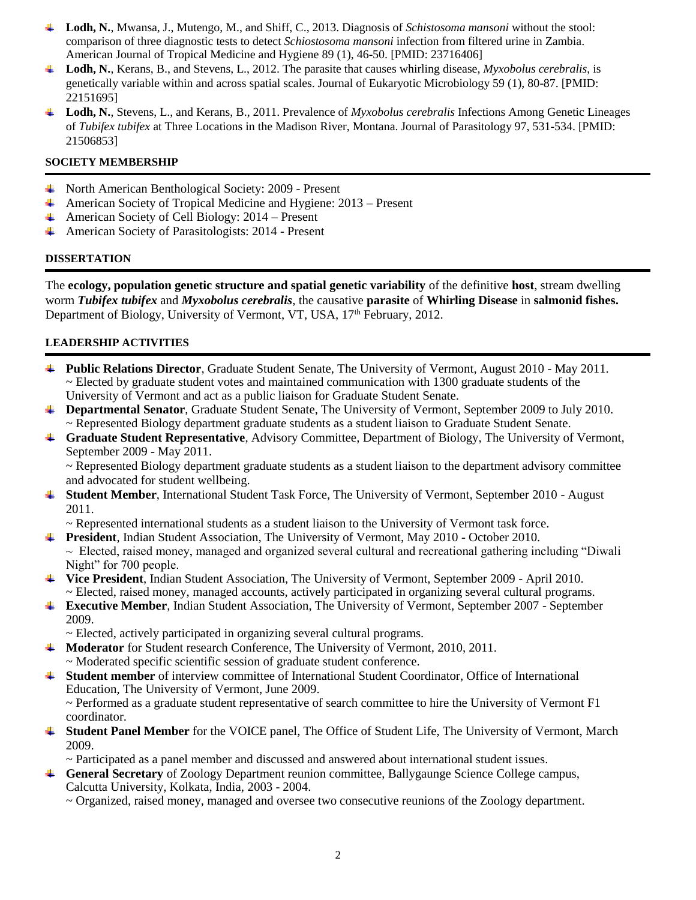- **Lodh, N.**, Mwansa, J., Mutengo, M., and Shiff, C., 2013. Diagnosis of *Schistosoma mansoni* without the stool: comparison of three diagnostic tests to detect *Schiostosoma mansoni* infection from filtered urine in Zambia. American Journal of Tropical Medicine and Hygiene 89 (1), 46-50. [PMID: 23716406]
- **Lodh, N.**, Kerans, B., and Stevens, L., 2012. The parasite that causes whirling disease, *Myxobolus cerebralis*, is genetically variable within and across spatial scales. Journal of Eukaryotic Microbiology 59 (1), 80-87. [PMID: 22151695]
- **Lodh, N.**, Stevens, L., and Kerans, B., 2011. Prevalence of *Myxobolus cerebralis* Infections Among Genetic Lineages of *Tubifex tubifex* at Three Locations in the Madison River, Montana. Journal of Parasitology 97, 531-534. [PMID: 21506853]

### **SOCIETY MEMBERSHIP**

- North American Benthological Society: 2009 Present
- American Society of Tropical Medicine and Hygiene: 2013 Present
- American Society of Cell Biology: 2014 Present
- American Society of Parasitologists: 2014 Present ÷

### **DISSERTATION**

The **ecology, population genetic structure and spatial genetic variability** of the definitive **host**, stream dwelling worm *Tubifex tubifex* and *Myxobolus cerebralis*, the causative **parasite** of **Whirling Disease** in **salmonid fishes.**  Department of Biology, University of Vermont, VT, USA, 17<sup>th</sup> February, 2012.

### **LEADERSHIP ACTIVITIES**

- **Public Relations Director**, Graduate Student Senate, The University of Vermont, August 2010 May 2011.  $\sim$  Elected by graduate student votes and maintained communication with 1300 graduate students of the University of Vermont and act as a public liaison for Graduate Student Senate.
- **Departmental Senator**, Graduate Student Senate, The University of Vermont, September 2009 to July 2010. ~ Represented Biology department graduate students as a student liaison to Graduate Student Senate.
- **Graduate Student Representative**, Advisory Committee, Department of Biology, The University of Vermont, September 2009 - May 2011.

~ Represented Biology department graduate students as a student liaison to the department advisory committee and advocated for student wellbeing.

**Student Member**, International Student Task Force, The University of Vermont, September 2010 - August 2011.

~ Represented international students as a student liaison to the University of Vermont task force.

- **President**, Indian Student Association, The University of Vermont, May 2010 October 2010.  $\sim$  Elected, raised money, managed and organized several cultural and recreational gathering including "Diwali Night" for 700 people.
- **Vice President**, Indian Student Association, The University of Vermont, September 2009 April 2010. ~ Elected, raised money, managed accounts, actively participated in organizing several cultural programs.
- **Executive Member**, Indian Student Association, The University of Vermont, September 2007 September 2009.

~ Elected, actively participated in organizing several cultural programs.

- **Moderator** for Student research Conference, The University of Vermont, 2010, 2011. ~ Moderated specific scientific session of graduate student conference.
- **Student member** of interview committee of International Student Coordinator, Office of International Education, The University of Vermont, June 2009.

 $\sim$  Performed as a graduate student representative of search committee to hire the University of Vermont F1 coordinator.

**Student Panel Member** for the VOICE panel, The Office of Student Life, The University of Vermont, March 2009.

~ Participated as a panel member and discussed and answered about international student issues.

- **General Secretary** of Zoology Department reunion committee, Ballygaunge Science College campus, Calcutta University, Kolkata, India, 2003 - 2004.
	- ~ Organized, raised money, managed and oversee two consecutive reunions of the Zoology department.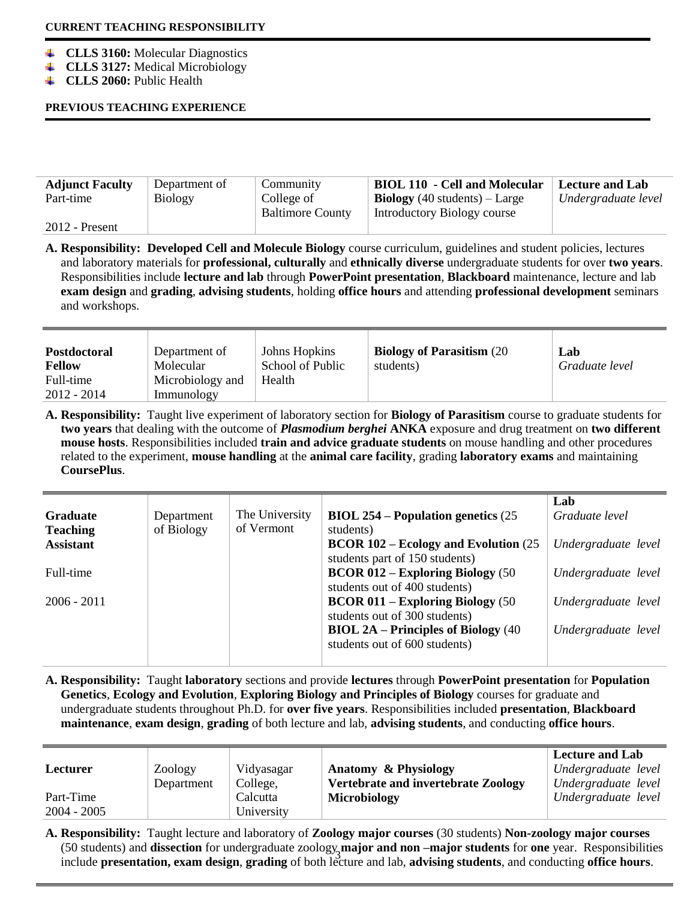#### **CURRENT TEACHING RESPONSIBILITY**

- ÷ **CLLS 3160:** Molecular Diagnostics
- d. **CLLS 3127:** Medical Microbiology
- **CLLS 2060:** Public Health

#### **PREVIOUS TEACHING EXPERIENCE**

| <b>Adjunct Faculty</b> | Department of  | Community               | <b>BIOL 110 - Cell and Molecular</b>   | Lecture and Lab     |
|------------------------|----------------|-------------------------|----------------------------------------|---------------------|
| Part-time              | <b>Biology</b> | College of              | <b>Biology</b> (40 students) $-$ Large | Undergraduate level |
|                        |                | <b>Baltimore County</b> | Introductory Biology course            |                     |
| $2012$ - Present       |                |                         |                                        |                     |

**A. Responsibility: Developed Cell and Molecule Biology** course curriculum, guidelines and student policies, lectures and laboratory materials for **professional, culturally** and **ethnically diverse** undergraduate students for over **two years**. Responsibilities include **lecture and lab** through **PowerPoint presentation**, **Blackboard** maintenance, lecture and lab **exam design** and **grading**, **advising students**, holding **office hours** and attending **professional development** seminars and workshops.

| <b>Postdoctoral</b> | Department of    | Johns Hopkins    | <b>Biology of Parasitism (20)</b> | Lab            |
|---------------------|------------------|------------------|-----------------------------------|----------------|
| <b>Fellow</b>       | Molecular        | School of Public | students)                         | Graduate level |
| Full-time           | Microbiology and | Health           |                                   |                |
| $2012 - 2014$       | Immunology       |                  |                                   |                |

**A. Responsibility:** Taught live experiment of laboratory section for **Biology of Parasitism** course to graduate students for **two years** that dealing with the outcome of *Plasmodium berghei* **ANKA** exposure and drug treatment on **two different mouse hosts**. Responsibilities included **train and advice graduate students** on mouse handling and other procedures related to the experiment, **mouse handling** at the **animal care facility**, grading **laboratory exams** and maintaining **CoursePlus**.

|                  |            |                |                                              | Lab                 |
|------------------|------------|----------------|----------------------------------------------|---------------------|
| <b>Graduate</b>  | Department | The University | <b>BIOL 254 – Population genetics (25</b>    | Graduate level      |
| <b>Teaching</b>  | of Biology | of Vermont     | students)                                    |                     |
| <b>Assistant</b> |            |                | <b>BCOR 102 – Ecology and Evolution (25)</b> | Undergraduate level |
|                  |            |                | students part of 150 students)               |                     |
| Full-time        |            |                | <b>BCOR 012 – Exploring Biology</b> (50      | Undergraduate level |
|                  |            |                | students out of 400 students)                |                     |
| $2006 - 2011$    |            |                | <b>BCOR 011 - Exploring Biology</b> (50      | Undergraduate level |
|                  |            |                | students out of 300 students)                |                     |
|                  |            |                | <b>BIOL 2A</b> – Principles of Biology $(40$ | Undergraduate level |
|                  |            |                | students out of 600 students)                |                     |
|                  |            |                |                                              |                     |

**A. Responsibility:** Taught **laboratory** sections and provide **lectures** through **PowerPoint presentation** for **Population Genetics**, **Ecology and Evolution**, **Exploring Biology and Principles of Biology** courses for graduate and undergraduate students throughout Ph.D. for **over five years**. Responsibilities included **presentation**, **Blackboard maintenance**, **exam design**, **grading** of both lecture and lab, **advising students**, and conducting **office hours**.

|               |            |            |                                            | <b>Lecture and Lab</b> |
|---------------|------------|------------|--------------------------------------------|------------------------|
| Lecturer      | Zoology    | Vidyasagar | <b>Anatomy &amp; Physiology</b>            | Undergraduate level    |
|               | Department | College,   | <b>Vertebrate and invertebrate Zoology</b> | Undergraduate level    |
| Part-Time     |            | Calcutta   | <b>Microbiology</b>                        | Undergraduate level    |
| $2004 - 2005$ |            | University |                                            |                        |
|               |            |            |                                            |                        |

3 include **presentation, exam design**, **grading** of both lecture and lab, **advising students**, and conducting **office hours**. **A. Responsibility:** Taught lecture and laboratory of **Zoology major courses** (30 students) **Non-zoology major courses** (50 students) and **dissection** for undergraduate zoology **major and non –major students** for **one** year. Responsibilities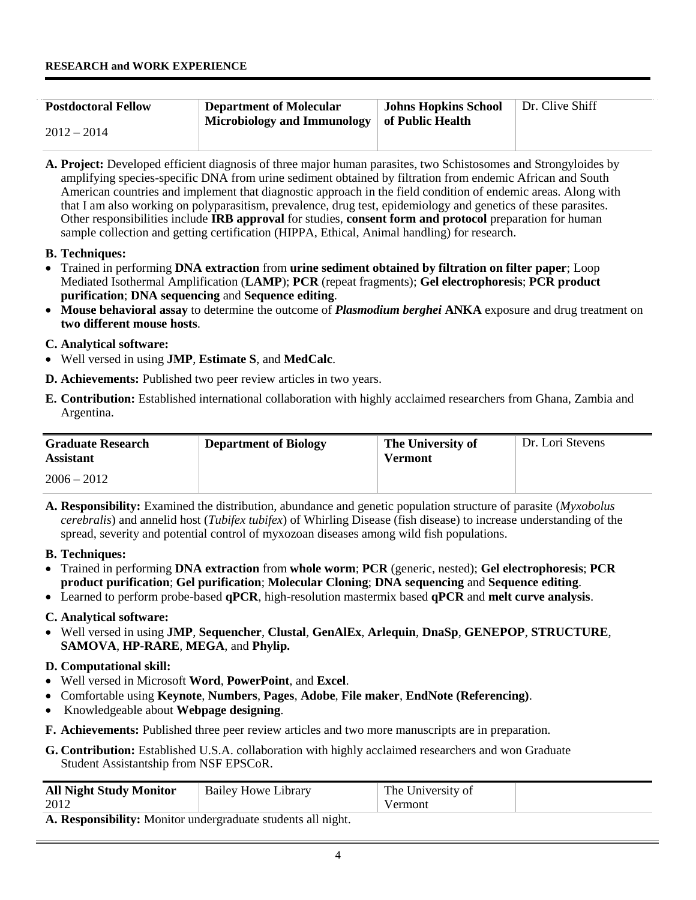| <b>Postdoctoral Fellow</b> | Department of Molecular                                          | <b>Johns Hopkins School</b> | Dr. Clive Shiff |
|----------------------------|------------------------------------------------------------------|-----------------------------|-----------------|
|                            | $\forall$ Microbiology and Immunology $\exists$ of Public Health |                             |                 |
| $2012 - 2014$              |                                                                  |                             |                 |

**A. Project:** Developed efficient diagnosis of three major human parasites, two Schistosomes and Strongyloides by amplifying species-specific DNA from urine sediment obtained by filtration from endemic African and South American countries and implement that diagnostic approach in the field condition of endemic areas. Along with that I am also working on polyparasitism, prevalence, drug test, epidemiology and genetics of these parasites. Other responsibilities include **IRB approval** for studies, **consent form and protocol** preparation for human sample collection and getting certification (HIPPA, Ethical, Animal handling) for research.

### **B. Techniques:**

- Trained in performing **DNA extraction** from **urine sediment obtained by filtration on filter paper**; Loop Mediated Isothermal Amplification (**LAMP**); **PCR** (repeat fragments); **Gel electrophoresis**; **PCR product purification**; **DNA sequencing** and **Sequence editing**.
- **Mouse behavioral assay** to determine the outcome of *Plasmodium berghei* **ANKA** exposure and drug treatment on **two different mouse hosts**.

# **C. Analytical software:**

- Well versed in using **JMP**, **Estimate S**, and **MedCalc**.
- **D. Achievements:** Published two peer review articles in two years.
- **E. Contribution:** Established international collaboration with highly acclaimed researchers from Ghana, Zambia and Argentina.

| <b>Graduate Research</b><br><b>Assistant</b> | <b>Department of Biology</b> | The University of<br>Vermont | Dr. Lori Stevens |
|----------------------------------------------|------------------------------|------------------------------|------------------|
| $2006 - 2012$                                |                              |                              |                  |

**A. Responsibility:** Examined the distribution, abundance and genetic population structure of parasite (*Myxobolus cerebralis*) and annelid host (*Tubifex tubifex*) of Whirling Disease (fish disease) to increase understanding of the spread, severity and potential control of myxozoan diseases among wild fish populations.

# **B. Techniques:**

- Trained in performing **DNA extraction** from **whole worm**; **PCR** (generic, nested); **Gel electrophoresis**; **PCR product purification**; **Gel purification**; **Molecular Cloning**; **DNA sequencing** and **Sequence editing**.
- Learned to perform probe-based **qPCR**, high-resolution mastermix based **qPCR** and **melt curve analysis**.

# **C. Analytical software:**

 Well versed in using **JMP**, **Sequencher**, **Clustal**, **GenAlEx**, **Arlequin**, **DnaSp**, **GENEPOP**, **STRUCTURE**, **SAMOVA**, **HP-RARE**, **MEGA**, and **Phylip.**

# **D. Computational skill:**

- Well versed in Microsoft **Word**, **PowerPoint**, and **Excel**.
- Comfortable using **Keynote**, **Numbers**, **Pages**, **Adobe**, **File maker**, **EndNote (Referencing)**.
- Knowledgeable about **Webpage designing**.
- **F. Achievements:** Published three peer review articles and two more manuscripts are in preparation.
- **G. Contribution:** Established U.S.A. collaboration with highly acclaimed researchers and won Graduate Student Assistantship from NSF EPSCoR.

| <b>All Night Study Monitor</b> | <b>Bailey Howe Library</b> | The University of |  |
|--------------------------------|----------------------------|-------------------|--|
| 2012                           |                            | V ermont          |  |

**A. Responsibility:** Monitor undergraduate students all night.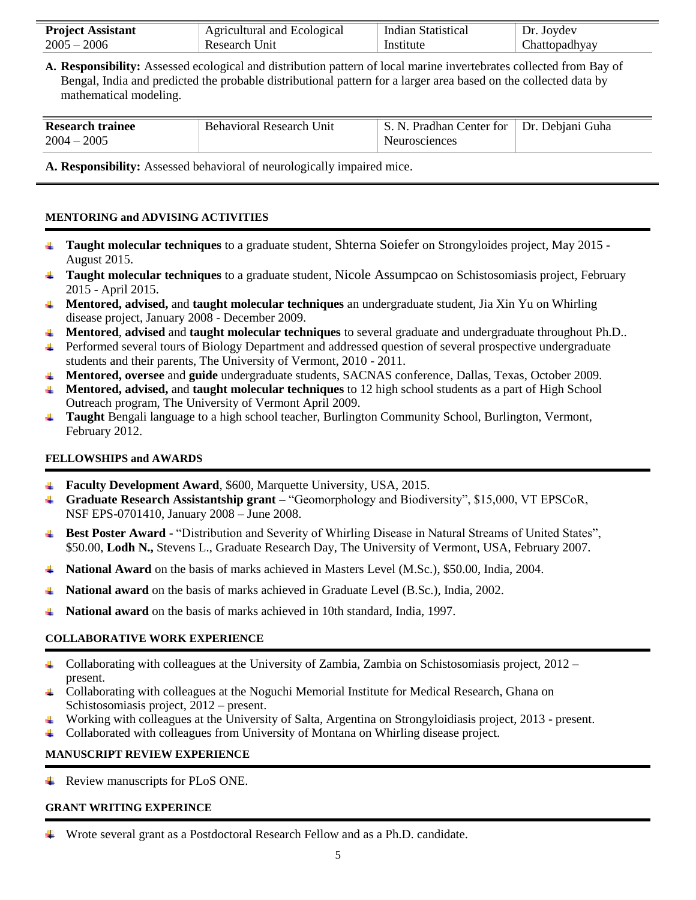| <b>Project Assistant</b> | Agricultural and Ecological | Indian Statistical | Dr. Joydev    |
|--------------------------|-----------------------------|--------------------|---------------|
| $2005 - 1$<br>$-2006$    | Research Unit               | Institute          | Chattopadhyay |

**A. Responsibility:** Assessed ecological and distribution pattern of local marine invertebrates collected from Bay of Bengal, India and predicted the probable distributional pattern for a larger area based on the collected data by mathematical modeling.

| <b>Research trainee</b> | <b>Behavioral Research Unit</b> | S. N. Pradhan Center for | Dr. Debjani Guha |
|-------------------------|---------------------------------|--------------------------|------------------|
| $2004 - 7$<br>$-2005$   |                                 | <b>Neurosciences</b>     |                  |

**A. Responsibility:** Assessed behavioral of neurologically impaired mice.

### **MENTORING and ADVISING ACTIVITIES**

- **Taught molecular techniques** to a graduate student, Shterna Soiefer on Strongyloides project, May 2015 August 2015.
- **Taught molecular techniques** to a graduate student, Nicole Assumpcao on Schistosomiasis project, February 2015 - April 2015.
- **Mentored, advised,** and **taught molecular techniques** an undergraduate student, Jia Xin Yu on Whirling disease project, January 2008 - December 2009.
- **Mentored**, **advised** and **taught molecular techniques** to several graduate and undergraduate throughout Ph.D..
- **Performed several tours of Biology Department and addressed question of several prospective undergraduate** students and their parents, The University of Vermont, 2010 - 2011.
- **Mentored, oversee** and **guide** undergraduate students, SACNAS conference, Dallas, Texas, October 2009.
- **Mentored, advised,** and **taught molecular techniques** to 12 high school students as a part of High School Outreach program, The University of Vermont April 2009.
- **Taught** Bengali language to a high school teacher, Burlington Community School, Burlington, Vermont, February 2012.

### **FELLOWSHIPS and AWARDS**

- **Faculty Development Award**, \$600, Marquette University, USA, 2015.
- **Graduate Research Assistantship grant –** "Geomorphology and Biodiversity", \$15,000, VT EPSCoR, NSF EPS-0701410, January 2008 – June 2008.
- **Best Poster Award** "Distribution and Severity of Whirling Disease in Natural Streams of United States", \$50.00, **Lodh N.,** Stevens L., Graduate Research Day, The University of Vermont, USA, February 2007.
- **National Award** on the basis of marks achieved in Masters Level (M.Sc.), \$50.00, India, 2004.
- **National award** on the basis of marks achieved in Graduate Level (B.Sc.), India, 2002.
- **National award** on the basis of marks achieved in 10th standard, India, 1997.

# **COLLABORATIVE WORK EXPERIENCE**

- $\blacktriangle$  Collaborating with colleagues at the University of Zambia, Zambia on Schistosomiasis project, 2012 present.
- <sup>4</sup> Collaborating with colleagues at the Noguchi Memorial Institute for Medical Research, Ghana on Schistosomiasis project, 2012 – present.
- Working with colleagues at the University of Salta, Argentina on Strongyloidiasis project, 2013 present.
- Collaborated with colleagues from University of Montana on Whirling disease project.

### **MANUSCRIPT REVIEW EXPERIENCE**

**EXECUTE:** Review manuscripts for PLoS ONE.

### **GRANT WRITING EXPERINCE**

Wrote several grant as a Postdoctoral Research Fellow and as a Ph.D. candidate.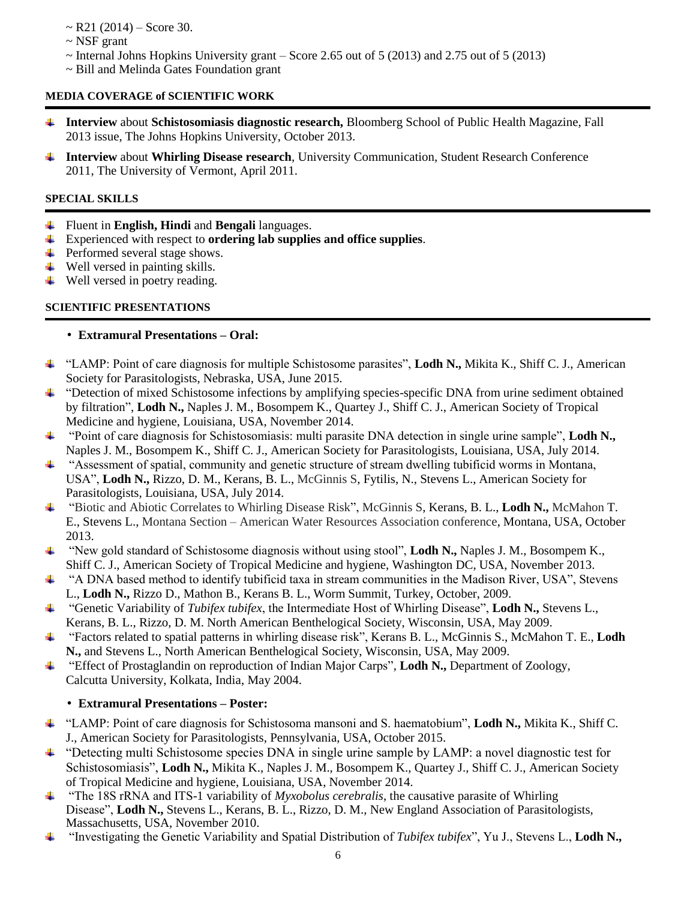- $\sim$  R21 (2014) Score 30.
- ~ NSF grant
- ~ Internal Johns Hopkins University grant Score 2.65 out of 5 (2013) and 2.75 out of 5 (2013)
- ~ Bill and Melinda Gates Foundation grant

### **MEDIA COVERAGE of SCIENTIFIC WORK**

- **Interview** about **Schistosomiasis diagnostic research,** Bloomberg School of Public Health Magazine, Fall 2013 issue, The Johns Hopkins University, October 2013.
- $\textcolor{red}{\textbf{#}}$  **Interview about Whirling Disease research**, University Communication, Student Research Conference 2011, The University of Vermont, April 2011.

### **SPECIAL SKILLS**

- Fluent in **English, Hindi** and **Bengali** languages.
- Experienced with respect to **ordering lab supplies and office supplies**.
- $\overline{\phantom{a}}$  Performed several stage shows.
- $\downarrow$  Well versed in painting skills.
- **↓** Well versed in poetry reading.

### **SCIENTIFIC PRESENTATIONS**

### • **Extramural Presentations – Oral:**

- "LAMP: Point of care diagnosis for multiple Schistosome parasites", **Lodh N.,** Mikita K., Shiff C. J., American Society for Parasitologists, Nebraska, USA, June 2015.
- "Detection of mixed Schistosome infections by amplifying species-specific DNA from urine sediment obtained by filtration", **Lodh N.,** Naples J. M., Bosompem K., Quartey J., Shiff C. J., American Society of Tropical Medicine and hygiene, Louisiana, USA, November 2014.
- "Point of care diagnosis for Schistosomiasis: multi parasite DNA detection in single urine sample", **Lodh N.,** Naples J. M., Bosompem K., Shiff C. J., American Society for Parasitologists, Louisiana, USA, July 2014.
- $\ddot{\bullet}$  "Assessment of spatial, community and genetic structure of stream dwelling tubificid worms in Montana, USA", **Lodh N.,** Rizzo, D. M., Kerans, B. L., McGinnis S, Fytilis, N., Stevens L., American Society for Parasitologists, Louisiana, USA, July 2014.
- "Biotic and Abiotic Correlates to Whirling Disease Risk", McGinnis S, Kerans, B. L., **Lodh N.,** McMahon T. E., Stevens L., Montana Section – American Water Resources Association conference, Montana, USA, October 2013.
- "New gold standard of Schistosome diagnosis without using stool", **Lodh N.,** Naples J. M., Bosompem K., . Shiff C. J., American Society of Tropical Medicine and hygiene, Washington DC, USA, November 2013.
- $\uparrow$  "A DNA based method to identify tubificid taxa in stream communities in the Madison River, USA", Stevens L., **Lodh N.,** Rizzo D., Mathon B., Kerans B. L., Worm Summit, Turkey, October, 2009.
- "Genetic Variability of *Tubifex tubifex*, the Intermediate Host of Whirling Disease", **Lodh N.,** Stevens L., Kerans, B. L., Rizzo, D. M. North American Benthelogical Society, Wisconsin, USA, May 2009.
- "Factors related to spatial patterns in whirling disease risk", Kerans B. L., McGinnis S., McMahon T. E., **Lodh N.,** and Stevens L., North American Benthelogical Society, Wisconsin, USA, May 2009.
- "Effect of Prostaglandin on reproduction of Indian Major Carps", **Lodh N.,** Department of Zoology, Calcutta University, Kolkata, India, May 2004.

### • **Extramural Presentations – Poster:**

- "LAMP: Point of care diagnosis for Schistosoma mansoni and S. haematobium", **Lodh N.,** Mikita K., Shiff C. J., American Society for Parasitologists, Pennsylvania, USA, October 2015.
- "Detecting multi Schistosome species DNA in single urine sample by LAMP: a novel diagnostic test for Schistosomiasis", **Lodh N.,** Mikita K., Naples J. M., Bosompem K., Quartey J., Shiff C. J., American Society of Tropical Medicine and hygiene, Louisiana, USA, November 2014.
- "The 18S rRNA and ITS-1 variability of *Myxobolus cerebralis*, the causative parasite of Whirling Disease", **Lodh N.,** Stevens L., Kerans, B. L., Rizzo, D. M., New England Association of Parasitologists, Massachusetts, USA, November 2010.
- "Investigating the Genetic Variability and Spatial Distribution of *Tubifex tubifex*", Yu J., Stevens L., **Lodh N.,**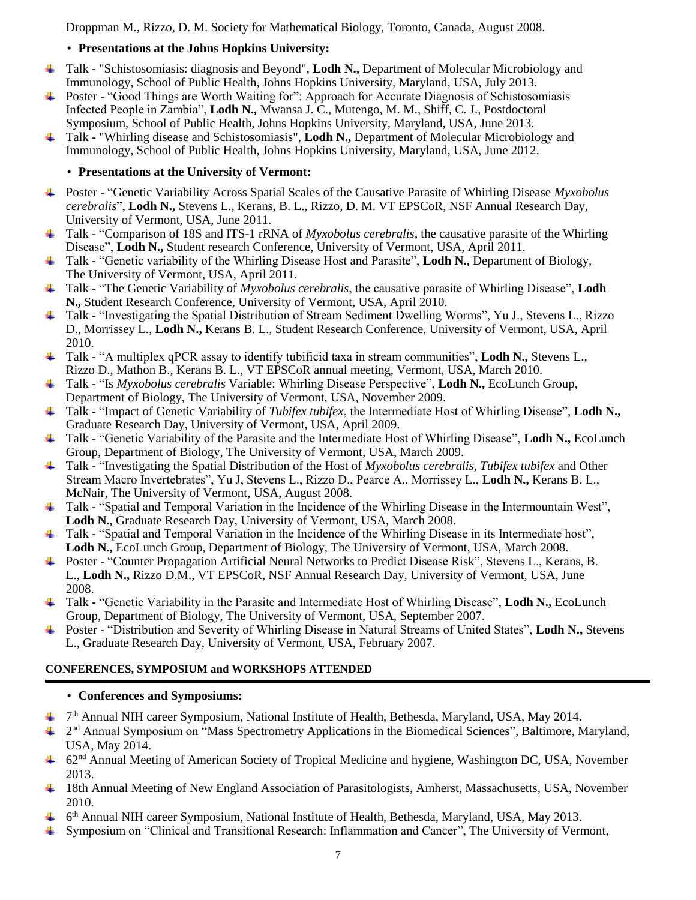Droppman M., Rizzo, D. M. Society for Mathematical Biology, Toronto, Canada, August 2008.

# • **Presentations at the Johns Hopkins University:**

- Talk "Schistosomiasis: diagnosis and Beyond", **Lodh N.,** Department of Molecular Microbiology and Immunology, School of Public Health, Johns Hopkins University, Maryland, USA, July 2013.
- Poster "Good Things are Worth Waiting for": Approach for Accurate Diagnosis of Schistosomiasis Infected People in Zambia", **Lodh N.,** Mwansa J. C., Mutengo, M. M., Shiff, C. J., Postdoctoral Symposium, School of Public Health, Johns Hopkins University, Maryland, USA, June 2013.
- Talk "Whirling disease and Schistosomiasis", **Lodh N.,** Department of Molecular Microbiology and Immunology, School of Public Health, Johns Hopkins University, Maryland, USA, June 2012.

# • **Presentations at the University of Vermont:**

- Poster "Genetic Variability Across Spatial Scales of the Causative Parasite of Whirling Disease *Myxobolus cerebralis*", **Lodh N.,** Stevens L., Kerans, B. L., Rizzo, D. M. VT EPSCoR, NSF Annual Research Day, University of Vermont, USA, June 2011.
- Talk "Comparison of 18S and ITS-1 rRNA of *Myxobolus cerebralis*, the causative parasite of the Whirling Disease", **Lodh N.,** Student research Conference, University of Vermont, USA, April 2011.
- Talk "Genetic variability of the Whirling Disease Host and Parasite", **Lodh N.,** Department of Biology, The University of Vermont, USA, April 2011.
- Talk "The Genetic Variability of *Myxobolus cerebralis*, the causative parasite of Whirling Disease", **Lodh N.,** Student Research Conference, University of Vermont, USA, April 2010.
- Talk "Investigating the Spatial Distribution of Stream Sediment Dwelling Worms", Yu J., Stevens L., Rizzo D., Morrissey L., **Lodh N.,** Kerans B. L., Student Research Conference, University of Vermont, USA, April 2010.
- Talk "A multiplex qPCR assay to identify tubificid taxa in stream communities", **Lodh N.,** Stevens L., Rizzo D., Mathon B., Kerans B. L., VT EPSCoR annual meeting, Vermont, USA, March 2010.
- Talk "Is *Myxobolus cerebralis* Variable: Whirling Disease Perspective", **Lodh N.,** EcoLunch Group, Department of Biology, The University of Vermont, USA, November 2009.
- Talk "Impact of Genetic Variability of *Tubifex tubifex*, the Intermediate Host of Whirling Disease", **Lodh N.,** Graduate Research Day, University of Vermont, USA, April 2009.
- Talk "Genetic Variability of the Parasite and the Intermediate Host of Whirling Disease", **Lodh N.,** EcoLunch Group, Department of Biology, The University of Vermont, USA, March 2009.
- Talk "Investigating the Spatial Distribution of the Host of *Myxobolus cerebralis*, *Tubifex tubifex* and Other Stream Macro Invertebrates", Yu J, Stevens L., Rizzo D., Pearce A., Morrissey L., **Lodh N.,** Kerans B. L., McNair, The University of Vermont, USA, August 2008.
- $\ddot{\bullet}$  Talk "Spatial and Temporal Variation in the Incidence of the Whirling Disease in the Intermountain West", **Lodh N.,** Graduate Research Day, University of Vermont, USA, March 2008.
- $\ddot{\bullet}$  Talk "Spatial and Temporal Variation in the Incidence of the Whirling Disease in its Intermediate host", **Lodh N.,** EcoLunch Group, Department of Biology, The University of Vermont, USA, March 2008.
- Poster "Counter Propagation Artificial Neural Networks to Predict Disease Risk", Stevens L., Kerans, B. L., **Lodh N.,** Rizzo D.M., VT EPSCoR, NSF Annual Research Day, University of Vermont, USA, June 2008.
- Talk "Genetic Variability in the Parasite and Intermediate Host of Whirling Disease", **Lodh N.,** EcoLunch Group, Department of Biology, The University of Vermont, USA, September 2007.
- Poster "Distribution and Severity of Whirling Disease in Natural Streams of United States", **Lodh N.,** Stevens L., Graduate Research Day, University of Vermont, USA, February 2007.

# **CONFERENCES, SYMPOSIUM and WORKSHOPS ATTENDED**

### • **Conferences and Symposiums:**

- 7<sup>th</sup> Annual NIH career Symposium, National Institute of Health, Bethesda, Maryland, USA, May 2014.
- 2<sup>nd</sup> Annual Symposium on "Mass Spectrometry Applications in the Biomedical Sciences", Baltimore, Maryland, ÷ USA, May 2014.
- $\pm$  62<sup>nd</sup> Annual Meeting of American Society of Tropical Medicine and hygiene, Washington DC, USA, November 2013.
- 18th Annual Meeting of New England Association of Parasitologists, Amherst, Massachusetts, USA, November 2010.
- 6<sup>th</sup> Annual NIH career Symposium, National Institute of Health, Bethesda, Maryland, USA, May 2013.
- Symposium on "Clinical and Transitional Research: Inflammation and Cancer", The University of Vermont,